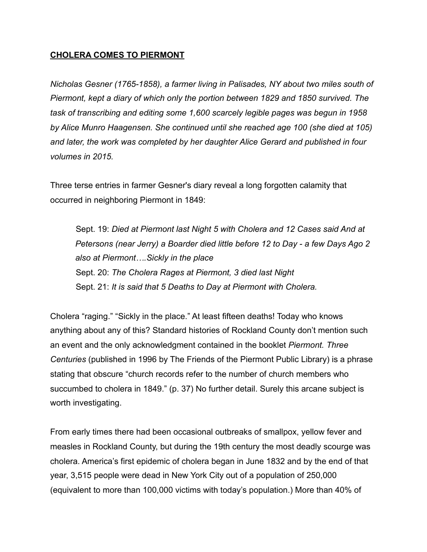### **CHOLERA COMES TO PIERMONT**

*Nicholas Gesner (1765-1858), a farmer living in Palisades, NY about two miles south of Piermont, kept a diary of which only the portion between 1829 and 1850 survived. The task of transcribing and editing some 1,600 scarcely legible pages was begun in 1958 by Alice Munro Haagensen. She continued until she reached age 100 (she died at 105) and later, the work was completed by her daughter Alice Gerard and published in four volumes in 2015.* 

Three terse entries in farmer Gesner's diary reveal a long forgotten calamity that occurred in neighboring Piermont in 1849:

 Sept. 19: *Died at Piermont last Night 5 with Cholera and 12 Cases said And at Petersons (near Jerry) a Boarder died little before 12 to Day - a few Days Ago 2 also at Piermont….Sickly in the place* Sept. 20: *The Cholera Rages at Piermont, 3 died last Night* Sept. 21: *It is said that 5 Deaths to Day at Piermont with Cholera.* 

Cholera "raging." "Sickly in the place." At least fifteen deaths! Today who knows anything about any of this? Standard histories of Rockland County don't mention such an event and the only acknowledgment contained in the booklet *Piermont. Three Centuries* (published in 1996 by The Friends of the Piermont Public Library) is a phrase stating that obscure "church records refer to the number of church members who succumbed to cholera in 1849." (p. 37) No further detail. Surely this arcane subject is worth investigating.

From early times there had been occasional outbreaks of smallpox, yellow fever and measles in Rockland County, but during the 19th century the most deadly scourge was cholera. America's first epidemic of cholera began in June 1832 and by the end of that year, 3,515 people were dead in New York City out of a population of 250,000 (equivalent to more than 100,000 victims with today's population.) More than 40% of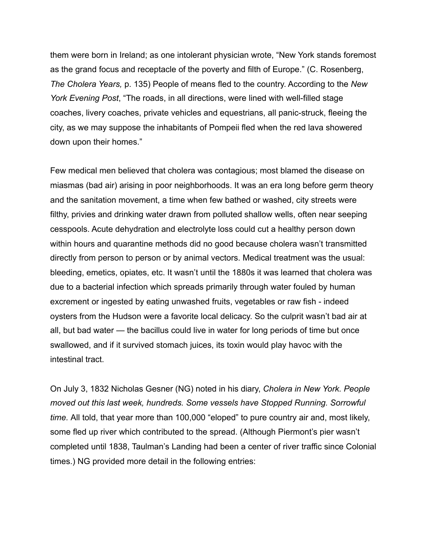them were born in Ireland; as one intolerant physician wrote, "New York stands foremost as the grand focus and receptacle of the poverty and filth of Europe." (C. Rosenberg, *The Cholera Years,* p. 135) People of means fled to the country. According to the *New York Evening Post*, "The roads, in all directions, were lined with well-filled stage coaches, livery coaches, private vehicles and equestrians, all panic-struck, fleeing the city, as we may suppose the inhabitants of Pompeii fled when the red lava showered down upon their homes."

Few medical men believed that cholera was contagious; most blamed the disease on miasmas (bad air) arising in poor neighborhoods. It was an era long before germ theory and the sanitation movement, a time when few bathed or washed, city streets were filthy, privies and drinking water drawn from polluted shallow wells, often near seeping cesspools. Acute dehydration and electrolyte loss could cut a healthy person down within hours and quarantine methods did no good because cholera wasn't transmitted directly from person to person or by animal vectors. Medical treatment was the usual: bleeding, emetics, opiates, etc. It wasn't until the 1880s it was learned that cholera was due to a bacterial infection which spreads primarily through water fouled by human excrement or ingested by eating unwashed fruits, vegetables or raw fish - indeed oysters from the Hudson were a favorite local delicacy. So the culprit wasn't bad air at all, but bad water — the bacillus could live in water for long periods of time but once swallowed, and if it survived stomach juices, its toxin would play havoc with the intestinal tract.

On July 3, 1832 Nicholas Gesner (NG) noted in his diary, *Cholera in New York. People moved out this last week, hundreds. Some vessels have Stopped Running. Sorrowful time.* All told, that year more than 100,000 "eloped" to pure country air and, most likely, some fled up river which contributed to the spread. (Although Piermont's pier wasn't completed until 1838, Taulman's Landing had been a center of river traffic since Colonial times.) NG provided more detail in the following entries: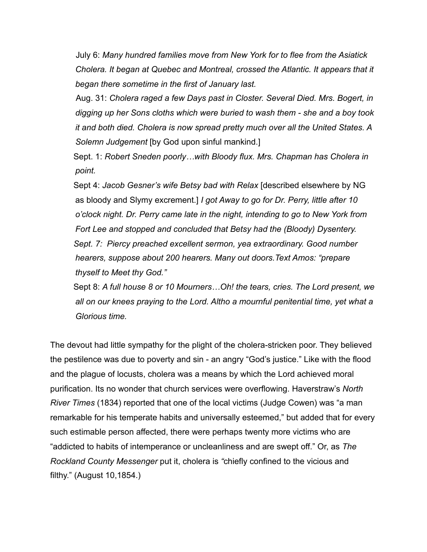July 6: *Many hundred families move from New York for to flee from the Asiatick Cholera. It began at Quebec and Montreal, crossed the Atlantic. It appears that it began there sometime in the first of January last.*

Aug. 31: *Cholera raged a few Days past in Closter. Several Died. Mrs. Bogert, in digging up her Sons cloths which were buried to wash them - she and a boy took it and both died. Cholera is now spread pretty much over all the United States. A Solemn Judgement* [by God upon sinful mankind.]

 Sept. 1: *Robert Sneden poorly…with Bloody flux. Mrs. Chapman has Cholera in point.* 

Sept 4: *Jacob Gesner's wife Betsy bad with Relax* [described elsewhere by NG as bloody and Slymy excrement.] *I got Away to go for Dr. Perry, little after 10 o'clock night. Dr. Perry came late in the night, intending to go to New York from Fort Lee and stopped and concluded that Betsy had the (Bloody) Dysentery. Sept. 7: Piercy preached excellent sermon, yea extraordinary. Good number hearers, suppose about 200 hearers. Many out doors.Text Amos: "prepare thyself to Meet thy God."* 

Sept 8: *A full house 8 or 10 Mourners…Oh! the tears, cries. The Lord present, we*  all on our knees praying to the Lord. Altho a mournful penitential time, yet what a *Glorious time.* 

The devout had little sympathy for the plight of the cholera-stricken poor. They believed the pestilence was due to poverty and sin - an angry "God's justice." Like with the flood and the plague of locusts, cholera was a means by which the Lord achieved moral purification. Its no wonder that church services were overflowing. Haverstraw's *North River Times* (1834) reported that one of the local victims (Judge Cowen) was "a man remarkable for his temperate habits and universally esteemed," but added that for every such estimable person affected, there were perhaps twenty more victims who are "addicted to habits of intemperance or uncleanliness and are swept off." Or, as *The Rockland County Messenger* put it, cholera is *"*chiefly confined to the vicious and filthy." (August 10,1854.)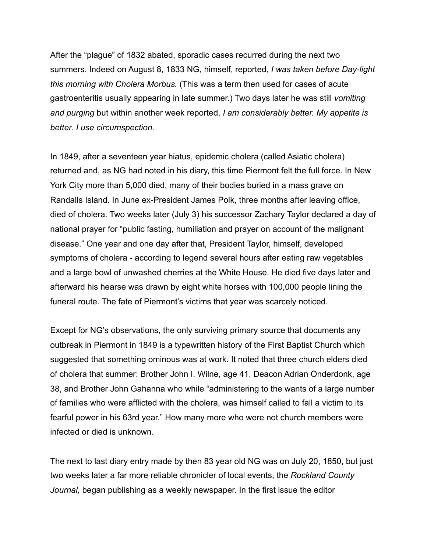After the "plague" of 1832 abated, sporadic cases recurred during the next two summers. Indeed on August 8, 1833 NG, himself, reported, *I was taken before Day-light this morning with Cholera Morbus.* (This was a term then used for cases of acute gastroenteritis usually appearing in late summer.) Two days later he was still *vomiting and purging* but within another week reported, *I am considerably better. My appetite is better. I use circumspection.*

In 1849, after a seventeen year hiatus, epidemic cholera (called Asiatic cholera) returned and, as NG had noted in his diary, this time Piermont felt the full force. In New York City more than 5,000 died, many of their bodies buried in a mass grave on Randalls Island. In June ex-President James Polk, three months after leaving office, died of cholera. Two weeks later (July 3) his successor Zachary Taylor declared a day of national prayer for "public fasting, humiliation and prayer on account of the malignant disease." One year and one day after that, President Taylor, himself, developed symptoms of cholera - according to legend several hours after eating raw vegetables and a large bowl of unwashed cherries at the White House. He died five days later and afterward his hearse was drawn by eight white horses with 100,000 people lining the funeral route. The fate of Piermont's victims that year was scarcely noticed.

Except for NG's observations, the only surviving primary source that documents any outbreak in Piermont in 1849 is a typewritten history of the First Baptist Church which suggested that something ominous was at work. It noted that three church elders died of cholera that summer: Brother John I. Wilne, age 41, Deacon Adrian Onderdonk, age 38, and Brother John Gahanna who while "administering to the wants of a large number of families who were afflicted with the cholera, was himself called to fall a victim to its fearful power in his 63rd year." How many more who were not church members were infected or died is unknown.

The next to last diary entry made by then 83 year old NG was on July 20, 1850, but just two weeks later a far more reliable chronicler of local events, the *Rockland County Journal,* began publishing as a weekly newspaper. In the first issue the editor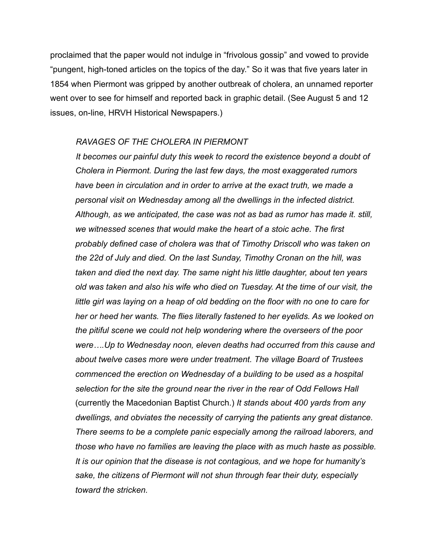proclaimed that the paper would not indulge in "frivolous gossip" and vowed to provide "pungent, high-toned articles on the topics of the day." So it was that five years later in 1854 when Piermont was gripped by another outbreak of cholera, an unnamed reporter went over to see for himself and reported back in graphic detail. (See August 5 and 12 issues, on-line, HRVH Historical Newspapers.)

#### *RAVAGES OF THE CHOLERA IN PIERMONT*

 *It becomes our painful duty this week to record the existence beyond a doubt of Cholera in Piermont. During the last few days, the most exaggerated rumors have been in circulation and in order to arrive at the exact truth, we made a personal visit on Wednesday among all the dwellings in the infected district. Although, as we anticipated, the case was not as bad as rumor has made it. still, we witnessed scenes that would make the heart of a stoic ache. The first probably defined case of cholera was that of Timothy Driscoll who was taken on the 22d of July and died. On the last Sunday, Timothy Cronan on the hill, was taken and died the next day. The same night his little daughter, about ten years old was taken and also his wife who died on Tuesday. At the time of our visit, the little girl was laying on a heap of old bedding on the floor with no one to care for her or heed her wants. The flies literally fastened to her eyelids. As we looked on the pitiful scene we could not help wondering where the overseers of the poor were….Up to Wednesday noon, eleven deaths had occurred from this cause and about twelve cases more were under treatment. The village Board of Trustees commenced the erection on Wednesday of a building to be used as a hospital selection for the site the ground near the river in the rear of Odd Fellows Hall*  (currently the Macedonian Baptist Church.) *It stands about 400 yards from any dwellings, and obviates the necessity of carrying the patients any great distance. There seems to be a complete panic especially among the railroad laborers, and those who have no families are leaving the place with as much haste as possible. It is our opinion that the disease is not contagious, and we hope for humanity's sake, the citizens of Piermont will not shun through fear their duty, especially toward the stricken.*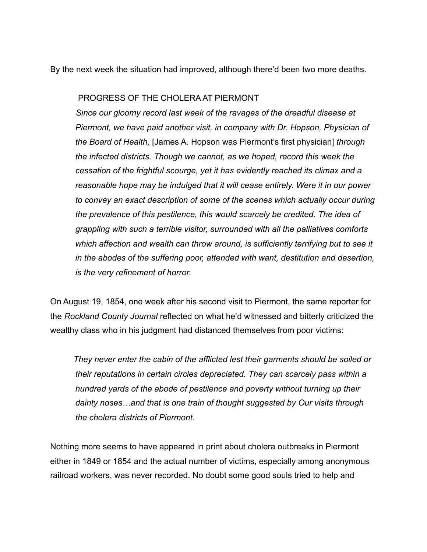By the next week the situation had improved, although there'd been two more deaths.

# PROGRESS OF THE CHOLERA AT PIERMONT

 *Since our gloomy record last week of the ravages of the dreadful disease at Piermont, we have paid another visit, in company with Dr. Hopson, Physician of the Board of Health,* [James A. Hopson was Piermont's first physician] *through the infected districts. Though we cannot, as we hoped, record this week the cessation of the frightful scourge, yet it has evidently reached its climax and a reasonable hope may be indulged that it will cease entirely. Were it in our power to convey an exact description of some of the scenes which actually occur during the prevalence of this pestilence, this would scarcely be credited. The idea of grappling with such a terrible visitor, surrounded with all the palliatives comforts which affection and wealth can throw around, is sufficiently terrifying but to see it in the abodes of the suffering poor, attended with want, destitution and desertion, is the very refinement of horror.* 

On August 19, 1854, one week after his second visit to Piermont, the same reporter for the *Rockland County Journal* reflected on what he'd witnessed and bitterly criticized the wealthy class who in his judgment had distanced themselves from poor victims:

 *They never enter the cabin of the afflicted lest their garments should be soiled or their reputations in certain circles depreciated. They can scarcely pass within a hundred yards of the abode of pestilence and poverty without turning up their dainty noses…and that is one train of thought suggested by Our visits through the cholera districts of Piermont.* 

Nothing more seems to have appeared in print about cholera outbreaks in Piermont either in 1849 or 1854 and the actual number of victims, especially among anonymous railroad workers, was never recorded. No doubt some good souls tried to help and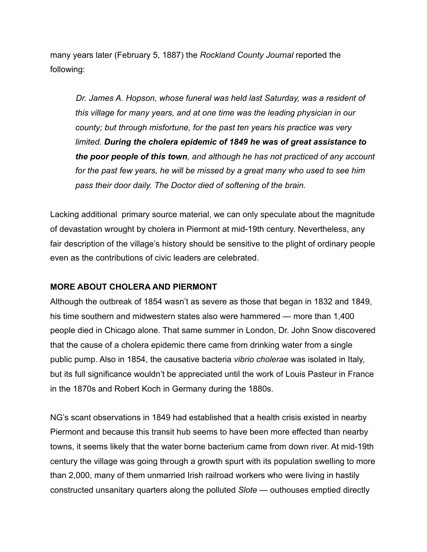many years later (February 5, 1887) the *Rockland County Journal* reported the following:

 *Dr. James A. Hopson, whose funeral was held last Saturday, was a resident of this village for many years, and at one time was the leading physician in our county; but through misfortune, for the past ten years his practice was very limited. During the cholera epidemic of 1849 he was of great assistance to the poor people of this town, and although he has not practiced of any account for the past few years, he will be missed by a great many who used to see him pass their door daily. The Doctor died of softening of the brain.* 

Lacking additional primary source material, we can only speculate about the magnitude of devastation wrought by cholera in Piermont at mid-19th century. Nevertheless, any fair description of the village's history should be sensitive to the plight of ordinary people even as the contributions of civic leaders are celebrated.

## **MORE ABOUT CHOLERA AND PIERMONT**

Although the outbreak of 1854 wasn't as severe as those that began in 1832 and 1849, his time southern and midwestern states also were hammered — more than 1,400 people died in Chicago alone. That same summer in London, Dr. John Snow discovered that the cause of a cholera epidemic there came from drinking water from a single public pump. Also in 1854, the causative bacteria *vibrio cholerae* was isolated in Italy, but its full significance wouldn't be appreciated until the work of Louis Pasteur in France in the 1870s and Robert Koch in Germany during the 1880s.

NG's scant observations in 1849 had established that a health crisis existed in nearby Piermont and because this transit hub seems to have been more effected than nearby towns, it seems likely that the water borne bacterium came from down river. At mid-19th century the village was going through a growth spurt with its population swelling to more than 2,000, many of them unmarried Irish railroad workers who were living in hastily constructed unsanitary quarters along the polluted *Slote* — outhouses emptied directly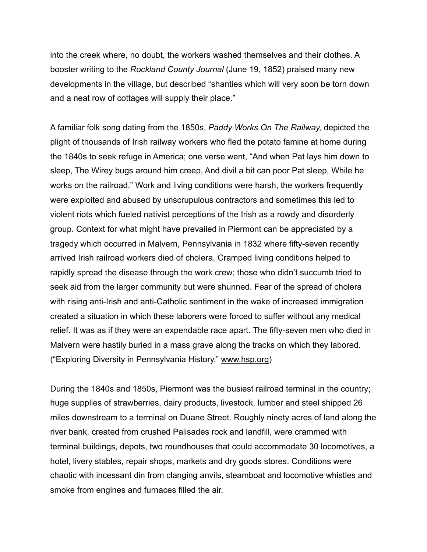into the creek where, no doubt, the workers washed themselves and their clothes. A booster writing to the *Rockland County Journal* (June 19, 1852) praised many new developments in the village, but described "shanties which will very soon be torn down and a neat row of cottages will supply their place."

A familiar folk song dating from the 1850s, *Paddy Works On The Railway,* depicted the plight of thousands of Irish railway workers who fled the potato famine at home during the 1840s to seek refuge in America; one verse went, "And when Pat lays him down to sleep, The Wirey bugs around him creep, And divil a bit can poor Pat sleep, While he works on the railroad." Work and living conditions were harsh, the workers frequently were exploited and abused by unscrupulous contractors and sometimes this led to violent riots which fueled nativist perceptions of the Irish as a rowdy and disorderly group. Context for what might have prevailed in Piermont can be appreciated by a tragedy which occurred in Malvern, Pennsylvania in 1832 where fifty-seven recently arrived Irish railroad workers died of cholera. Cramped living conditions helped to rapidly spread the disease through the work crew; those who didn't succumb tried to seek aid from the larger community but were shunned. Fear of the spread of cholera with rising anti-Irish and anti-Catholic sentiment in the wake of increased immigration created a situation in which these laborers were forced to suffer without any medical relief. It was as if they were an expendable race apart. The fifty-seven men who died in Malvern were hastily buried in a mass grave along the tracks on which they labored. ("Exploring Diversity in Pennsylvania History," [www.hsp.org\)](http://www.hsp.org)

During the 1840s and 1850s, Piermont was the busiest railroad terminal in the country; huge supplies of strawberries, dairy products, livestock, lumber and steel shipped 26 miles downstream to a terminal on Duane Street. Roughly ninety acres of land along the river bank, created from crushed Palisades rock and landfill, were crammed with terminal buildings, depots, two roundhouses that could accommodate 30 locomotives, a hotel, livery stables, repair shops, markets and dry goods stores. Conditions were chaotic with incessant din from clanging anvils, steamboat and locomotive whistles and smoke from engines and furnaces filled the air.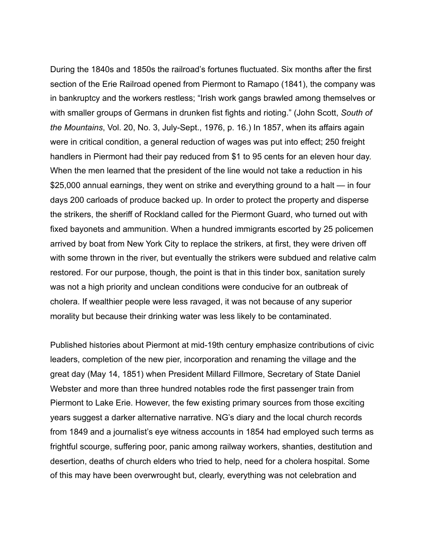During the 1840s and 1850s the railroad's fortunes fluctuated. Six months after the first section of the Erie Railroad opened from Piermont to Ramapo (1841), the company was in bankruptcy and the workers restless; "Irish work gangs brawled among themselves or with smaller groups of Germans in drunken fist fights and rioting." (John Scott, *South of the Mountains*, Vol. 20, No. 3, July-Sept., 1976, p. 16.) In 1857, when its affairs again were in critical condition, a general reduction of wages was put into effect; 250 freight handlers in Piermont had their pay reduced from \$1 to 95 cents for an eleven hour day. When the men learned that the president of the line would not take a reduction in his \$25,000 annual earnings, they went on strike and everything ground to a halt — in four days 200 carloads of produce backed up. In order to protect the property and disperse the strikers, the sheriff of Rockland called for the Piermont Guard, who turned out with fixed bayonets and ammunition. When a hundred immigrants escorted by 25 policemen arrived by boat from New York City to replace the strikers, at first, they were driven off with some thrown in the river, but eventually the strikers were subdued and relative calm restored. For our purpose, though, the point is that in this tinder box, sanitation surely was not a high priority and unclean conditions were conducive for an outbreak of cholera. If wealthier people were less ravaged, it was not because of any superior morality but because their drinking water was less likely to be contaminated.

Published histories about Piermont at mid-19th century emphasize contributions of civic leaders, completion of the new pier, incorporation and renaming the village and the great day (May 14, 1851) when President Millard Fillmore, Secretary of State Daniel Webster and more than three hundred notables rode the first passenger train from Piermont to Lake Erie. However, the few existing primary sources from those exciting years suggest a darker alternative narrative. NG's diary and the local church records from 1849 and a journalist's eye witness accounts in 1854 had employed such terms as frightful scourge, suffering poor, panic among railway workers, shanties, destitution and desertion, deaths of church elders who tried to help, need for a cholera hospital. Some of this may have been overwrought but, clearly, everything was not celebration and